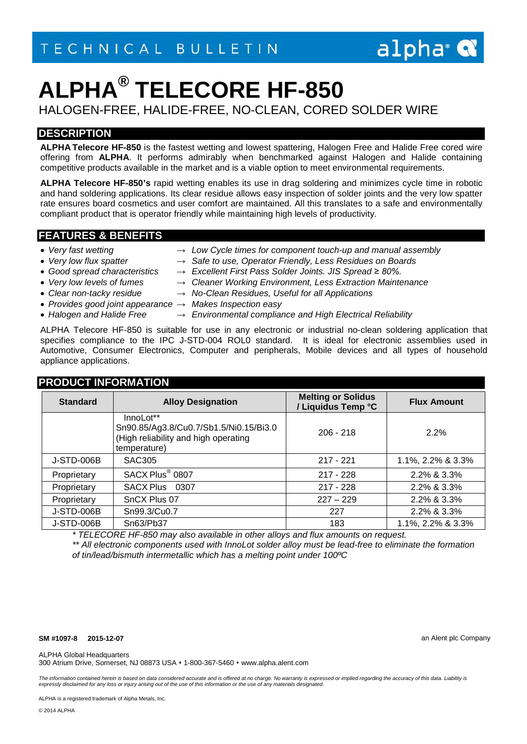## $alpha^{\circ}$

# **ALPHA® TELECORE HF-850**

HALOGEN-FREE, HALIDE-FREE, NO-CLEAN, CORED SOLDER WIRE

## **DESCRIPTION**

**ALPHA Telecore HF-850** is the fastest wetting and lowest spattering, Halogen Free and Halide Free cored wire offering from **ALPHA**. It performs admirably when benchmarked against Halogen and Halide containing competitive products available in the market and is a viable option to meet environmental requirements.

**ALPHA Telecore HF-850's** rapid wetting enables its use in drag soldering and minimizes cycle time in robotic and hand soldering applications. Its clear residue allows easy inspection of solder joints and the very low spatter rate ensures board cosmetics and user comfort are maintained. All this translates to a safe and environmentally compliant product that is operator friendly while maintaining high levels of productivity.

#### **FEATURES & BENEFITS**

#### • *Very fast wetting → Low Cycle times for component touch-up and manual assembly*

- 
- *Very low flux spatter → Safe to use, Operator Friendly, Less Residues on Boards*
- 
- *Good spread characteristics → Excellent First Pass Solder Joints. JIS Spread ≥ 80%.*
- 
- *Very low levels of fumes → Cleaner Working Environment, Less Extraction Maintenance* • *Clear non-tacky residue → No-Clean Residues, Useful for all Applications*
- 
- *Provides good joint appearance → Makes Inspection easy*
- 

**PRODUCT INFORMATION**

• *Halogen and Halide Free → Environmental compliance and High Electrical Reliability*

ALPHA Telecore HF-850 is suitable for use in any electronic or industrial no-clean soldering application that specifies compliance to the IPC J-STD-004 ROL0 standard. It is ideal for electronic assemblies used in Automotive, Consumer Electronics, Computer and peripherals, Mobile devices and all types of household appliance applications.

| PRUDUCI INFURMATIUN |                                                                                                             |                                                 |                    |  |
|---------------------|-------------------------------------------------------------------------------------------------------------|-------------------------------------------------|--------------------|--|
| <b>Standard</b>     | <b>Alloy Designation</b>                                                                                    | <b>Melting or Solidus</b><br>/ Liquidus Temp °C | <b>Flux Amount</b> |  |
|                     | InnoLot**<br>Sn90.85/Ag3.8/Cu0.7/Sb1.5/Ni0.15/Bi3.0<br>(High reliability and high operating<br>temperature) | $206 - 218$                                     | 2.2%               |  |
| J-STD-006B          | SAC305                                                                                                      | $217 - 221$                                     | 1.1%, 2.2% & 3.3%  |  |
| Proprietary         | SACX Plus <sup>®</sup> 0807                                                                                 | $217 - 228$                                     | 2.2% & 3.3%        |  |
| Proprietary         | <b>SACX Plus</b><br>0307                                                                                    | $217 - 228$                                     | 2.2% & 3.3%        |  |
| Proprietary         | SnCX Plus 07                                                                                                | $227 - 229$                                     | 2.2% & 3.3%        |  |
| J-STD-006B          | Sn99.3/Cu0.7                                                                                                | 227                                             | 2.2% & 3.3%        |  |
| <b>J-STD-006B</b>   | Sn63/Pb37                                                                                                   | 183                                             | 1.1%, 2.2% & 3.3%  |  |

*\* TELECORE HF-850 may also available in other alloys and flux amounts on request.*

*\*\* All electronic components used with InnoLot solder alloy must be lead-free to eliminate the formation of tin/lead/bismuth intermetallic which has a melting point under 100ºC*

**SM #1097-8 2015-12-07** an Alent plc Company

ALPHA Global Headquarters

300 Atrium Drive, Somerset, NJ 08873 USA 1-800-367-5460 www.alpha.alent.com

The information contained herein is based on data considered accurate and is offered at no charge. No warranty is expressed or implied regarding the accuracy of this data. Liability is *expressly disclaimed for any loss or injury arising out of the use of this information or the use of any materials designated.*

ALPHA is a registered trademark of Alpha Metals, Inc.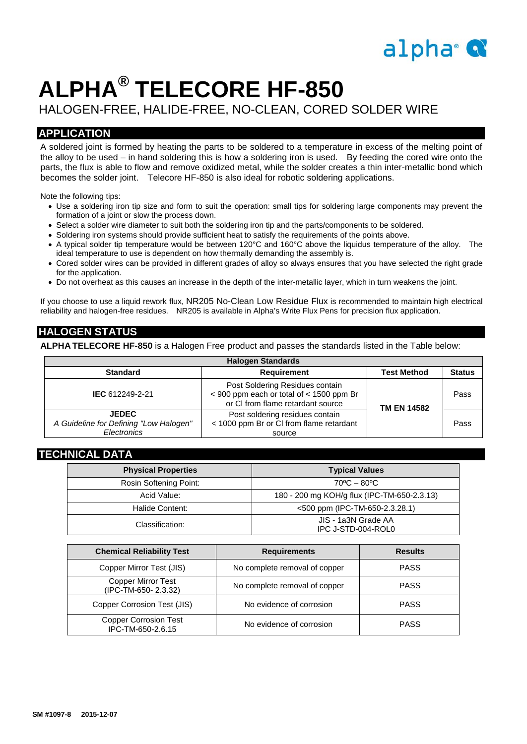## alpha<sup>®</sup>

# **ALPHA® TELECORE HF-850**

## HALOGEN-FREE, HALIDE-FREE, NO-CLEAN, CORED SOLDER WIRE

## **APPLICATION**

A soldered joint is formed by heating the parts to be soldered to a temperature in excess of the melting point of the alloy to be used – in hand soldering this is how a soldering iron is used. By feeding the cored wire onto the parts, the flux is able to flow and remove oxidized metal, while the solder creates a thin inter-metallic bond which becomes the solder joint. Telecore HF-850 is also ideal for robotic soldering applications.

Note the following tips:

- Use a soldering iron tip size and form to suit the operation: small tips for soldering large components may prevent the formation of a joint or slow the process down.
- Select a solder wire diameter to suit both the soldering iron tip and the parts/components to be soldered.
- Soldering iron systems should provide sufficient heat to satisfy the requirements of the points above.
- A typical solder tip temperature would be between 120°C and 160°C above the liquidus temperature of the alloy. The ideal temperature to use is dependent on how thermally demanding the assembly is.
- Cored solder wires can be provided in different grades of alloy so always ensures that you have selected the right grade for the application.
- Do not overheat as this causes an increase in the depth of the inter-metallic layer, which in turn weakens the joint.

If you choose to use a liquid rework flux, NR205 No-Clean Low Residue Flux is recommended to maintain high electrical reliability and halogen-free residues. NR205 is available in Alpha's Write Flux Pens for precision flux application.

## **HALOGEN STATUS**

**ALPHA TELECORE HF-850** is a Halogen Free product and passes the standards listed in the Table below:

| <b>Halogen Standards</b>                                              |                                                                                                                      |                            |               |  |  |
|-----------------------------------------------------------------------|----------------------------------------------------------------------------------------------------------------------|----------------------------|---------------|--|--|
| <b>Standard</b>                                                       | <b>Requirement</b>                                                                                                   | <b>Test Method</b>         | <b>Status</b> |  |  |
| IEC 612249-2-21                                                       | Post Soldering Residues contain<br>$<$ 900 ppm each or total of $<$ 1500 ppm Br<br>or CI from flame retardant source | Pass<br><b>TM EN 14582</b> |               |  |  |
| <b>JEDEC</b><br>A Guideline for Defining "Low Halogen"<br>Electronics | Post soldering residues contain<br>< 1000 ppm Br or CI from flame retardant<br>source                                |                            | Pass          |  |  |

### **TECHNICAL DATA**

| <b>Physical Properties</b> | <b>Typical Values</b>                       |  |
|----------------------------|---------------------------------------------|--|
| Rosin Softening Point:     | $70^{\circ}$ C – 80 $^{\circ}$ C            |  |
| Acid Value:                | 180 - 200 mg KOH/g flux (IPC-TM-650-2.3.13) |  |
| Halide Content:            | $<$ 500 ppm (IPC-TM-650-2.3.28.1)           |  |
| Classification:            | JIS - 1a3N Grade AA<br>IPC J-STD-004-ROL0   |  |

| <b>Chemical Reliability Test</b>                  | <b>Requirements</b>           | <b>Results</b> |
|---------------------------------------------------|-------------------------------|----------------|
| Copper Mirror Test (JIS)                          | No complete removal of copper | <b>PASS</b>    |
| <b>Copper Mirror Test</b><br>(IPC-TM-650-2.3.32)  | No complete removal of copper | <b>PASS</b>    |
| Copper Corrosion Test (JIS)                       | No evidence of corrosion      | <b>PASS</b>    |
| <b>Copper Corrosion Test</b><br>IPC-TM-650-2.6.15 | No evidence of corrosion      | <b>PASS</b>    |